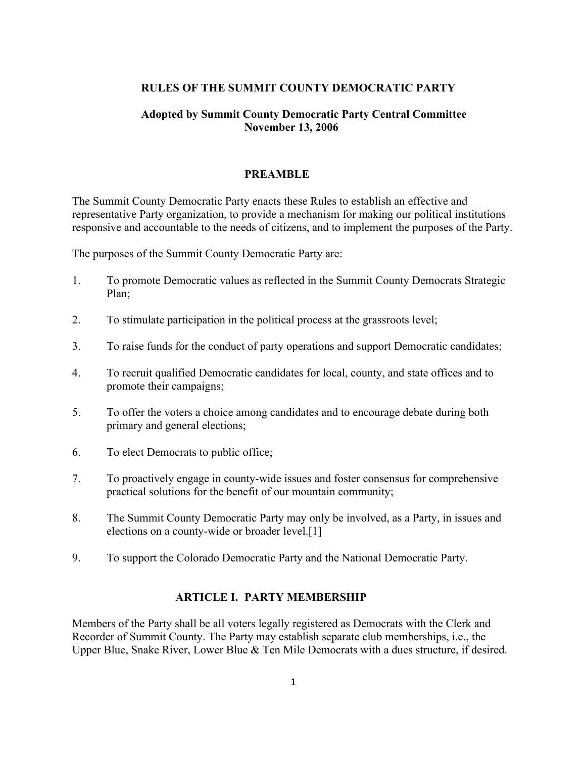### **RULES OF THE SUMMIT COUNTY DEMOCRATIC PARTY**

## **Adopted by Summit County Democratic Party Central Committee November 13, 2006**

#### **PREAMBLE**

The Summit County Democratic Party enacts these Rules to establish an effective and representative Party organization, to provide a mechanism for making our political institutions responsive and accountable to the needs of citizens, and to implement the purposes of the Party.

The purposes of the Summit County Democratic Party are:

- 1. To promote Democratic values as reflected in the Summit County Democrats Strategic Plan;
- 2. To stimulate participation in the political process at the grassroots level;
- 3. To raise funds for the conduct of party operations and support Democratic candidates;
- 4. To recruit qualified Democratic candidates for local, county, and state offices and to promote their campaigns;
- 5. To offer the voters a choice among candidates and to encourage debate during both primary and general elections;
- 6. To elect Democrats to public office;
- 7. To proactively engage in county-wide issues and foster consensus for comprehensive practical solutions for the benefit of our mountain community;
- 8. The Summit County Democratic Party may only be involved, as a Party, in issues and elections on a county-wide or broader level.[1]
- 9. To support the Colorado Democratic Party and the National Democratic Party.

### **ARTICLE I. PARTY MEMBERSHIP**

Members of the Party shall be all voters legally registered as Democrats with the Clerk and Recorder of Summit County. The Party may establish separate club memberships, i.e., the Upper Blue, Snake River, Lower Blue & Ten Mile Democrats with a dues structure, if desired.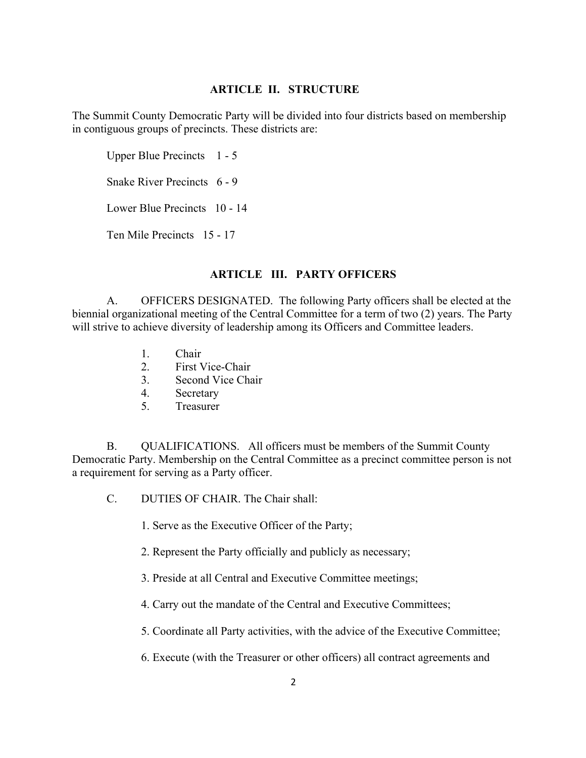### **ARTICLE II. STRUCTURE**

The Summit County Democratic Party will be divided into four districts based on membership in contiguous groups of precincts. These districts are:

Upper Blue Precincts 1 - 5

Snake River Precincts 6 - 9

Lower Blue Precincts 10 - 14

Ten Mile Precincts 15 - 17

# **ARTICLE III. PARTY OFFICERS**

A. OFFICERS DESIGNATED. The following Party officers shall be elected at the biennial organizational meeting of the Central Committee for a term of two (2) years. The Party will strive to achieve diversity of leadership among its Officers and Committee leaders.

- 1. Chair
- 2. First Vice-Chair
- 3. Second Vice Chair
- 4. Secretary
- 5. Treasurer

B. QUALIFICATIONS. All officers must be members of the Summit County Democratic Party. Membership on the Central Committee as a precinct committee person is not a requirement for serving as a Party officer.

- C. DUTIES OF CHAIR. The Chair shall:
	- 1. Serve as the Executive Officer of the Party;
	- 2. Represent the Party officially and publicly as necessary;
	- 3. Preside at all Central and Executive Committee meetings;
	- 4. Carry out the mandate of the Central and Executive Committees;
	- 5. Coordinate all Party activities, with the advice of the Executive Committee;
	- 6. Execute (with the Treasurer or other officers) all contract agreements and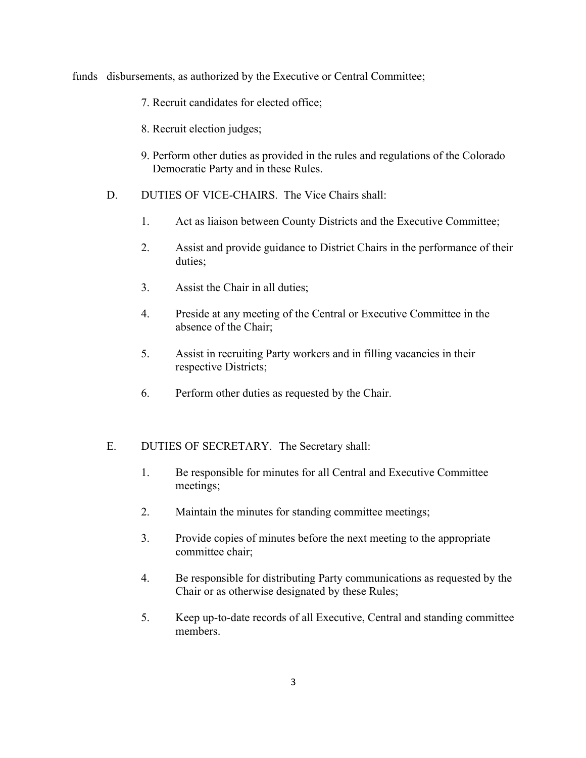funds disbursements, as authorized by the Executive or Central Committee;

- 7. Recruit candidates for elected office;
- 8. Recruit election judges;
- 9. Perform other duties as provided in the rules and regulations of the Colorado Democratic Party and in these Rules.
- D. DUTIES OF VICE-CHAIRS. The Vice Chairs shall:
	- 1. Act as liaison between County Districts and the Executive Committee;
	- 2. Assist and provide guidance to District Chairs in the performance of their duties;
	- 3. Assist the Chair in all duties;
	- 4. Preside at any meeting of the Central or Executive Committee in the absence of the Chair;
	- 5. Assist in recruiting Party workers and in filling vacancies in their respective Districts;
	- 6. Perform other duties as requested by the Chair.

### E. DUTIES OF SECRETARY. The Secretary shall:

- 1. Be responsible for minutes for all Central and Executive Committee meetings;
- 2. Maintain the minutes for standing committee meetings;
- 3. Provide copies of minutes before the next meeting to the appropriate committee chair;
- 4. Be responsible for distributing Party communications as requested by the Chair or as otherwise designated by these Rules;
- 5. Keep up-to-date records of all Executive, Central and standing committee members.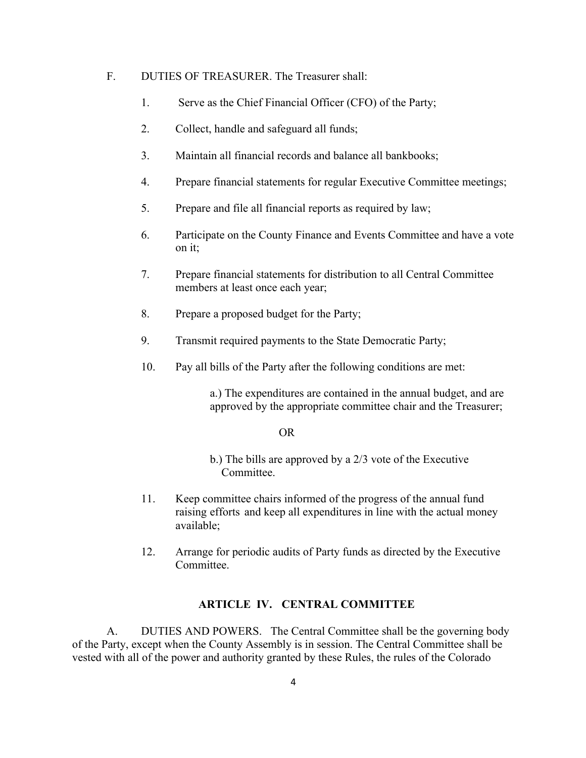# F. DUTIES OF TREASURER. The Treasurer shall:

- 1. Serve as the Chief Financial Officer (CFO) of the Party;
- 2. Collect, handle and safeguard all funds;
- 3. Maintain all financial records and balance all bankbooks;
- 4. Prepare financial statements for regular Executive Committee meetings;
- 5. Prepare and file all financial reports as required by law;
- 6. Participate on the County Finance and Events Committee and have a vote on it;
- 7. Prepare financial statements for distribution to all Central Committee members at least once each year;
- 8. Prepare a proposed budget for the Party;
- 9. Transmit required payments to the State Democratic Party;
- 10. Pay all bills of the Party after the following conditions are met:

a.) The expenditures are contained in the annual budget, and are approved by the appropriate committee chair and the Treasurer;

#### OR

- b.) The bills are approved by a 2/3 vote of the Executive Committee.
- 11. Keep committee chairs informed of the progress of the annual fund raising efforts and keep all expenditures in line with the actual money available;
- 12. Arrange for periodic audits of Party funds as directed by the Executive Committee.

### **ARTICLE IV. CENTRAL COMMITTEE**

A. DUTIES AND POWERS. The Central Committee shall be the governing body of the Party, except when the County Assembly is in session. The Central Committee shall be vested with all of the power and authority granted by these Rules, the rules of the Colorado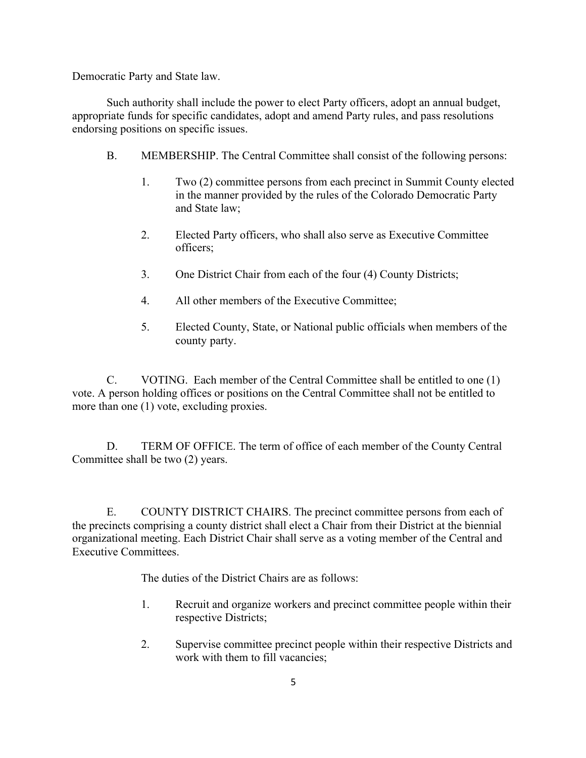Democratic Party and State law.

Such authority shall include the power to elect Party officers, adopt an annual budget, appropriate funds for specific candidates, adopt and amend Party rules, and pass resolutions endorsing positions on specific issues.

- B. MEMBERSHIP. The Central Committee shall consist of the following persons:
	- 1. Two (2) committee persons from each precinct in Summit County elected in the manner provided by the rules of the Colorado Democratic Party and State law;
	- 2. Elected Party officers, who shall also serve as Executive Committee officers;
	- 3. One District Chair from each of the four (4) County Districts;
	- 4. All other members of the Executive Committee;
	- 5. Elected County, State, or National public officials when members of the county party.

C. VOTING. Each member of the Central Committee shall be entitled to one (1) vote. A person holding offices or positions on the Central Committee shall not be entitled to more than one (1) vote, excluding proxies.

D. TERM OF OFFICE. The term of office of each member of the County Central Committee shall be two (2) years.

E. COUNTY DISTRICT CHAIRS. The precinct committee persons from each of the precincts comprising a county district shall elect a Chair from their District at the biennial organizational meeting. Each District Chair shall serve as a voting member of the Central and Executive Committees.

The duties of the District Chairs are as follows:

- 1. Recruit and organize workers and precinct committee people within their respective Districts;
- 2. Supervise committee precinct people within their respective Districts and work with them to fill vacancies;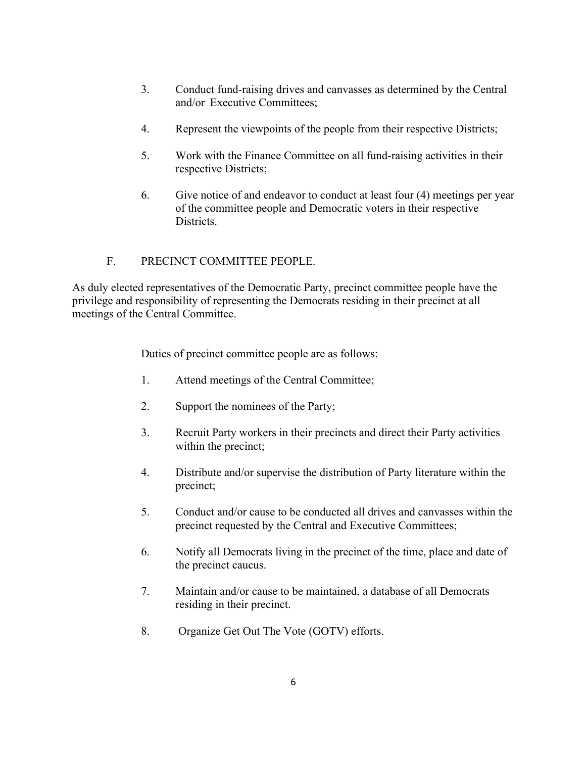- 3. Conduct fund-raising drives and canvasses as determined by the Central and/or Executive Committees;
- 4. Represent the viewpoints of the people from their respective Districts;
- 5. Work with the Finance Committee on all fund-raising activities in their respective Districts;
- 6. Give notice of and endeavor to conduct at least four (4) meetings per year of the committee people and Democratic voters in their respective Districts.

# F. PRECINCT COMMITTEE PEOPLE.

As duly elected representatives of the Democratic Party, precinct committee people have the privilege and responsibility of representing the Democrats residing in their precinct at all meetings of the Central Committee.

Duties of precinct committee people are as follows:

- 1. Attend meetings of the Central Committee;
- 2. Support the nominees of the Party;
- 3. Recruit Party workers in their precincts and direct their Party activities within the precinct;
- 4. Distribute and/or supervise the distribution of Party literature within the precinct;
- 5. Conduct and/or cause to be conducted all drives and canvasses within the precinct requested by the Central and Executive Committees;
- 6. Notify all Democrats living in the precinct of the time, place and date of the precinct caucus.
- 7. Maintain and/or cause to be maintained, a database of all Democrats residing in their precinct.
- 8. Organize Get Out The Vote (GOTV) efforts.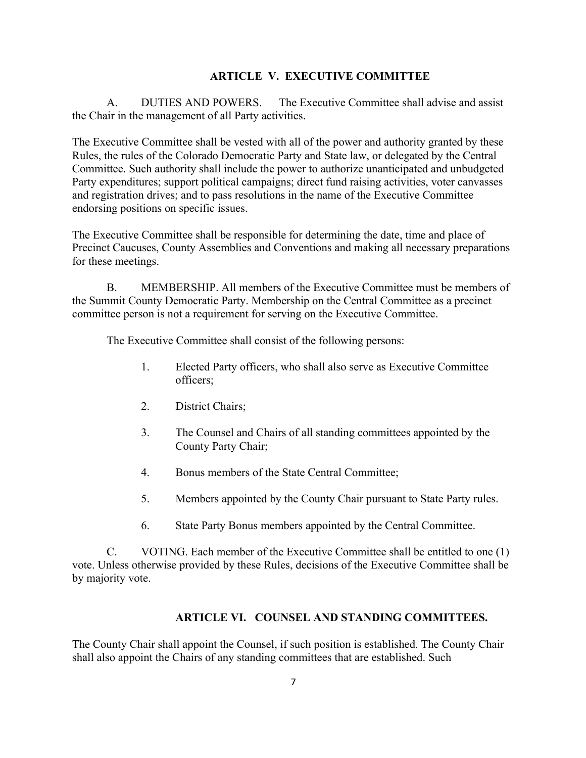### **ARTICLE V. EXECUTIVE COMMITTEE**

A. DUTIES AND POWERS. The Executive Committee shall advise and assist the Chair in the management of all Party activities.

The Executive Committee shall be vested with all of the power and authority granted by these Rules, the rules of the Colorado Democratic Party and State law, or delegated by the Central Committee. Such authority shall include the power to authorize unanticipated and unbudgeted Party expenditures; support political campaigns; direct fund raising activities, voter canvasses and registration drives; and to pass resolutions in the name of the Executive Committee endorsing positions on specific issues.

The Executive Committee shall be responsible for determining the date, time and place of Precinct Caucuses, County Assemblies and Conventions and making all necessary preparations for these meetings.

B. MEMBERSHIP. All members of the Executive Committee must be members of the Summit County Democratic Party. Membership on the Central Committee as a precinct committee person is not a requirement for serving on the Executive Committee.

The Executive Committee shall consist of the following persons:

- 1. Elected Party officers, who shall also serve as Executive Committee officers;
- 2. District Chairs;
- 3. The Counsel and Chairs of all standing committees appointed by the County Party Chair;
- 4. Bonus members of the State Central Committee;
- 5. Members appointed by the County Chair pursuant to State Party rules.
- 6. State Party Bonus members appointed by the Central Committee.

C. VOTING. Each member of the Executive Committee shall be entitled to one (1) vote. Unless otherwise provided by these Rules, decisions of the Executive Committee shall be by majority vote.

### **ARTICLE VI. COUNSEL AND STANDING COMMITTEES.**

The County Chair shall appoint the Counsel, if such position is established. The County Chair shall also appoint the Chairs of any standing committees that are established. Such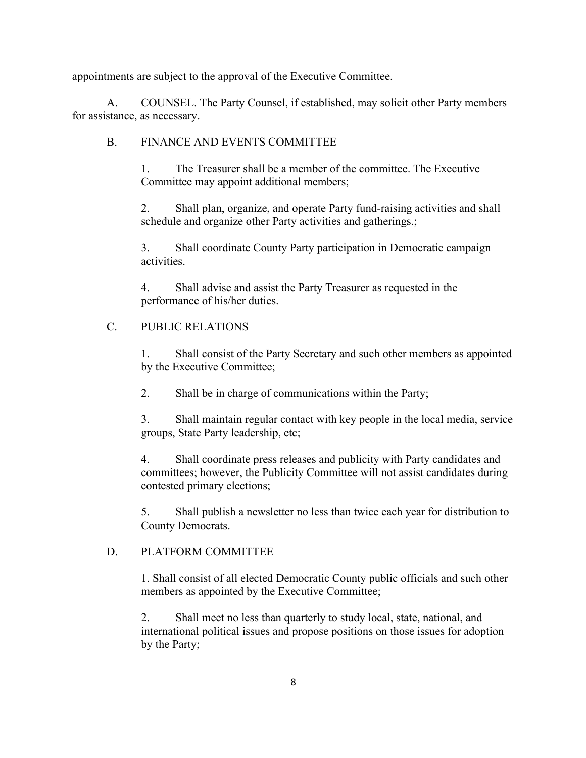appointments are subject to the approval of the Executive Committee.

A. COUNSEL. The Party Counsel, if established, may solicit other Party members for assistance, as necessary.

# B. FINANCE AND EVENTS COMMITTEE

1. The Treasurer shall be a member of the committee. The Executive Committee may appoint additional members;

2. Shall plan, organize, and operate Party fund-raising activities and shall schedule and organize other Party activities and gatherings.;

3. Shall coordinate County Party participation in Democratic campaign activities.

4. Shall advise and assist the Party Treasurer as requested in the performance of his/her duties.

# C. PUBLIC RELATIONS

1. Shall consist of the Party Secretary and such other members as appointed by the Executive Committee;

2. Shall be in charge of communications within the Party;

3. Shall maintain regular contact with key people in the local media, service groups, State Party leadership, etc;

4. Shall coordinate press releases and publicity with Party candidates and committees; however, the Publicity Committee will not assist candidates during contested primary elections;

5. Shall publish a newsletter no less than twice each year for distribution to County Democrats.

## D. PLATFORM COMMITTEE

1. Shall consist of all elected Democratic County public officials and such other members as appointed by the Executive Committee;

2. Shall meet no less than quarterly to study local, state, national, and international political issues and propose positions on those issues for adoption by the Party;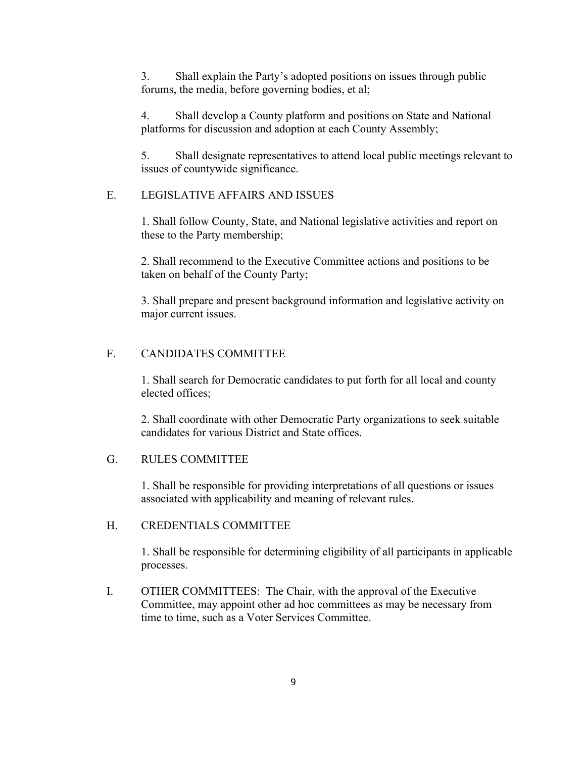3. Shall explain the Party's adopted positions on issues through public forums, the media, before governing bodies, et al;

4. Shall develop a County platform and positions on State and National platforms for discussion and adoption at each County Assembly;

5. Shall designate representatives to attend local public meetings relevant to issues of countywide significance.

### E. LEGISLATIVE AFFAIRS AND ISSUES

1. Shall follow County, State, and National legislative activities and report on these to the Party membership;

2. Shall recommend to the Executive Committee actions and positions to be taken on behalf of the County Party;

3. Shall prepare and present background information and legislative activity on major current issues.

## F. CANDIDATES COMMITTEE

1. Shall search for Democratic candidates to put forth for all local and county elected offices;

2. Shall coordinate with other Democratic Party organizations to seek suitable candidates for various District and State offices.

## G. RULES COMMITTEE

1. Shall be responsible for providing interpretations of all questions or issues associated with applicability and meaning of relevant rules.

## H. CREDENTIALS COMMITTEE

1. Shall be responsible for determining eligibility of all participants in applicable processes.

I. OTHER COMMITTEES: The Chair, with the approval of the Executive Committee, may appoint other ad hoc committees as may be necessary from time to time, such as a Voter Services Committee.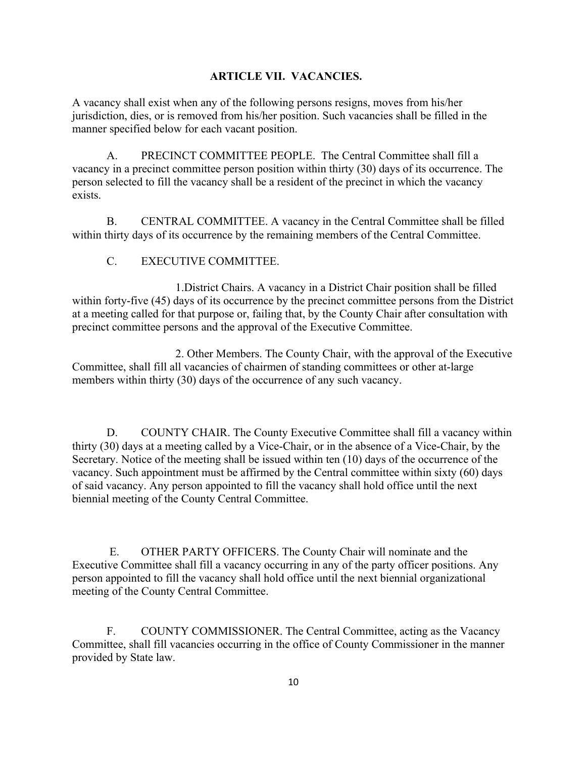### **ARTICLE VII. VACANCIES.**

A vacancy shall exist when any of the following persons resigns, moves from his/her jurisdiction, dies, or is removed from his/her position. Such vacancies shall be filled in the manner specified below for each vacant position.

A. PRECINCT COMMITTEE PEOPLE. The Central Committee shall fill a vacancy in a precinct committee person position within thirty (30) days of its occurrence. The person selected to fill the vacancy shall be a resident of the precinct in which the vacancy exists.

B. CENTRAL COMMITTEE. A vacancy in the Central Committee shall be filled within thirty days of its occurrence by the remaining members of the Central Committee.

C. EXECUTIVE COMMITTEE.

1.District Chairs. A vacancy in a District Chair position shall be filled within forty-five (45) days of its occurrence by the precinct committee persons from the District at a meeting called for that purpose or, failing that, by the County Chair after consultation with precinct committee persons and the approval of the Executive Committee.

2. Other Members. The County Chair, with the approval of the Executive Committee, shall fill all vacancies of chairmen of standing committees or other at-large members within thirty (30) days of the occurrence of any such vacancy.

D. COUNTY CHAIR. The County Executive Committee shall fill a vacancy within thirty (30) days at a meeting called by a Vice-Chair, or in the absence of a Vice-Chair, by the Secretary. Notice of the meeting shall be issued within ten (10) days of the occurrence of the vacancy. Such appointment must be affirmed by the Central committee within sixty (60) days of said vacancy. Any person appointed to fill the vacancy shall hold office until the next biennial meeting of the County Central Committee.

E. OTHER PARTY OFFICERS. The County Chair will nominate and the Executive Committee shall fill a vacancy occurring in any of the party officer positions. Any person appointed to fill the vacancy shall hold office until the next biennial organizational meeting of the County Central Committee.

F. COUNTY COMMISSIONER. The Central Committee, acting as the Vacancy Committee, shall fill vacancies occurring in the office of County Commissioner in the manner provided by State law.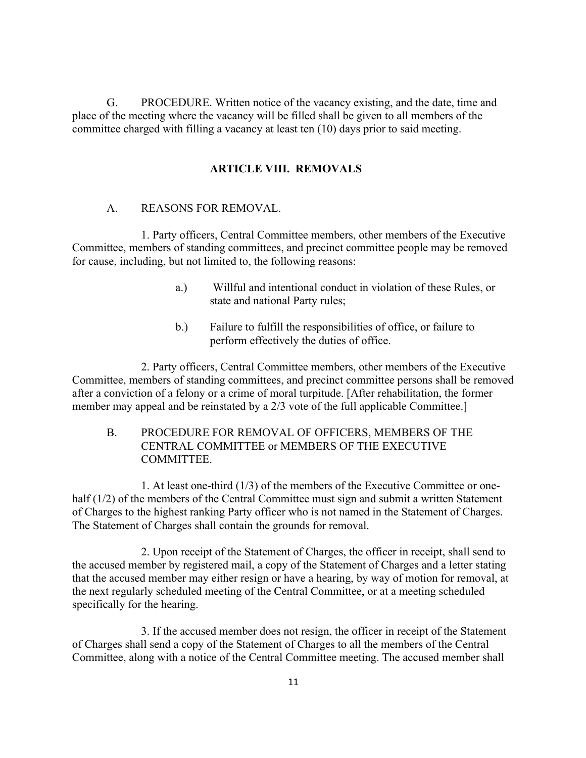G. PROCEDURE. Written notice of the vacancy existing, and the date, time and place of the meeting where the vacancy will be filled shall be given to all members of the committee charged with filling a vacancy at least ten (10) days prior to said meeting.

## **ARTICLE VIII. REMOVALS**

### A. REASONS FOR REMOVAL.

1. Party officers, Central Committee members, other members of the Executive Committee, members of standing committees, and precinct committee people may be removed for cause, including, but not limited to, the following reasons:

- a.) Willful and intentional conduct in violation of these Rules, or state and national Party rules;
- b.) Failure to fulfill the responsibilities of office, or failure to perform effectively the duties of office.

2. Party officers, Central Committee members, other members of the Executive Committee, members of standing committees, and precinct committee persons shall be removed after a conviction of a felony or a crime of moral turpitude. [After rehabilitation, the former member may appeal and be reinstated by a 2/3 vote of the full applicable Committee.]

B. PROCEDURE FOR REMOVAL OF OFFICERS, MEMBERS OF THE CENTRAL COMMITTEE or MEMBERS OF THE EXECUTIVE COMMITTEE.

1. At least one-third (1/3) of the members of the Executive Committee or onehalf (1/2) of the members of the Central Committee must sign and submit a written Statement of Charges to the highest ranking Party officer who is not named in the Statement of Charges. The Statement of Charges shall contain the grounds for removal.

2. Upon receipt of the Statement of Charges, the officer in receipt, shall send to the accused member by registered mail, a copy of the Statement of Charges and a letter stating that the accused member may either resign or have a hearing, by way of motion for removal, at the next regularly scheduled meeting of the Central Committee, or at a meeting scheduled specifically for the hearing.

3. If the accused member does not resign, the officer in receipt of the Statement of Charges shall send a copy of the Statement of Charges to all the members of the Central Committee, along with a notice of the Central Committee meeting. The accused member shall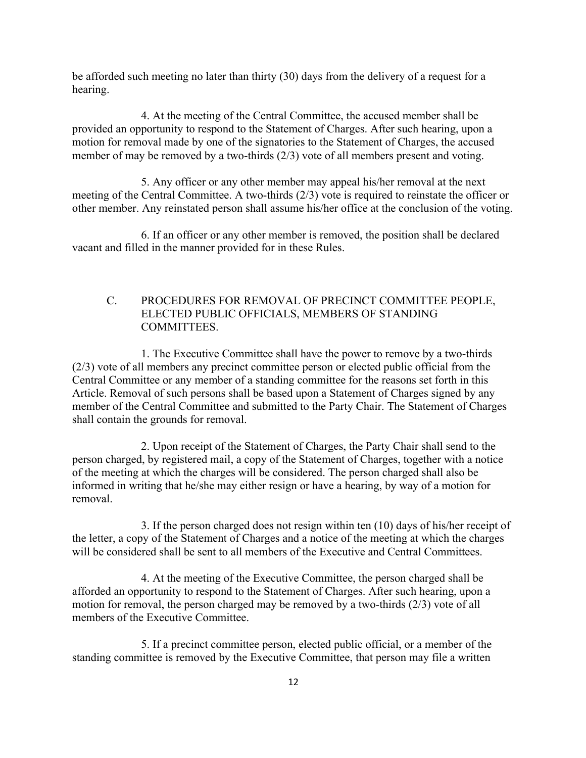be afforded such meeting no later than thirty (30) days from the delivery of a request for a hearing.

4. At the meeting of the Central Committee, the accused member shall be provided an opportunity to respond to the Statement of Charges. After such hearing, upon a motion for removal made by one of the signatories to the Statement of Charges, the accused member of may be removed by a two-thirds (2/3) vote of all members present and voting.

5. Any officer or any other member may appeal his/her removal at the next meeting of the Central Committee. A two-thirds (2/3) vote is required to reinstate the officer or other member. Any reinstated person shall assume his/her office at the conclusion of the voting.

6. If an officer or any other member is removed, the position shall be declared vacant and filled in the manner provided for in these Rules.

# C. PROCEDURES FOR REMOVAL OF PRECINCT COMMITTEE PEOPLE, ELECTED PUBLIC OFFICIALS, MEMBERS OF STANDING COMMITTEES.

1. The Executive Committee shall have the power to remove by a two-thirds (2/3) vote of all members any precinct committee person or elected public official from the Central Committee or any member of a standing committee for the reasons set forth in this Article. Removal of such persons shall be based upon a Statement of Charges signed by any member of the Central Committee and submitted to the Party Chair. The Statement of Charges shall contain the grounds for removal.

2. Upon receipt of the Statement of Charges, the Party Chair shall send to the person charged, by registered mail, a copy of the Statement of Charges, together with a notice of the meeting at which the charges will be considered. The person charged shall also be informed in writing that he/she may either resign or have a hearing, by way of a motion for removal.

3. If the person charged does not resign within ten (10) days of his/her receipt of the letter, a copy of the Statement of Charges and a notice of the meeting at which the charges will be considered shall be sent to all members of the Executive and Central Committees.

4. At the meeting of the Executive Committee, the person charged shall be afforded an opportunity to respond to the Statement of Charges. After such hearing, upon a motion for removal, the person charged may be removed by a two-thirds (2/3) vote of all members of the Executive Committee.

5. If a precinct committee person, elected public official, or a member of the standing committee is removed by the Executive Committee, that person may file a written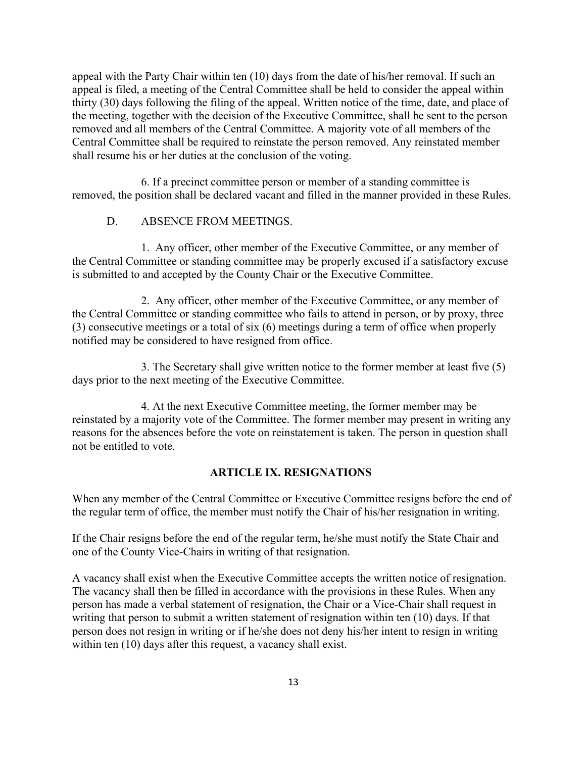appeal with the Party Chair within ten (10) days from the date of his/her removal. If such an appeal is filed, a meeting of the Central Committee shall be held to consider the appeal within thirty (30) days following the filing of the appeal. Written notice of the time, date, and place of the meeting, together with the decision of the Executive Committee, shall be sent to the person removed and all members of the Central Committee. A majority vote of all members of the Central Committee shall be required to reinstate the person removed. Any reinstated member shall resume his or her duties at the conclusion of the voting.

6. If a precinct committee person or member of a standing committee is removed, the position shall be declared vacant and filled in the manner provided in these Rules.

## D. ABSENCE FROM MEETINGS.

1. Any officer, other member of the Executive Committee, or any member of the Central Committee or standing committee may be properly excused if a satisfactory excuse is submitted to and accepted by the County Chair or the Executive Committee.

2. Any officer, other member of the Executive Committee, or any member of the Central Committee or standing committee who fails to attend in person, or by proxy, three (3) consecutive meetings or a total of six (6) meetings during a term of office when properly notified may be considered to have resigned from office.

3. The Secretary shall give written notice to the former member at least five (5) days prior to the next meeting of the Executive Committee.

4. At the next Executive Committee meeting, the former member may be reinstated by a majority vote of the Committee. The former member may present in writing any reasons for the absences before the vote on reinstatement is taken. The person in question shall not be entitled to vote.

#### **ARTICLE IX. RESIGNATIONS**

When any member of the Central Committee or Executive Committee resigns before the end of the regular term of office, the member must notify the Chair of his/her resignation in writing.

If the Chair resigns before the end of the regular term, he/she must notify the State Chair and one of the County Vice-Chairs in writing of that resignation.

A vacancy shall exist when the Executive Committee accepts the written notice of resignation. The vacancy shall then be filled in accordance with the provisions in these Rules. When any person has made a verbal statement of resignation, the Chair or a Vice-Chair shall request in writing that person to submit a written statement of resignation within ten (10) days. If that person does not resign in writing or if he/she does not deny his/her intent to resign in writing within ten (10) days after this request, a vacancy shall exist.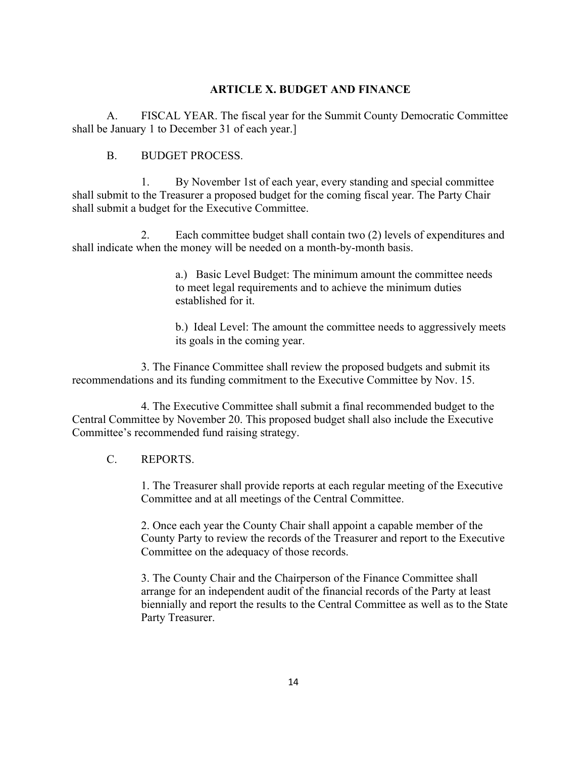### **ARTICLE X. BUDGET AND FINANCE**

A. FISCAL YEAR. The fiscal year for the Summit County Democratic Committee shall be January 1 to December 31 of each year.]

### B. BUDGET PROCESS.

1. By November 1st of each year, every standing and special committee shall submit to the Treasurer a proposed budget for the coming fiscal year. The Party Chair shall submit a budget for the Executive Committee.

2. Each committee budget shall contain two (2) levels of expenditures and shall indicate when the money will be needed on a month-by-month basis.

> a.) Basic Level Budget: The minimum amount the committee needs to meet legal requirements and to achieve the minimum duties established for it.

b.) Ideal Level: The amount the committee needs to aggressively meets its goals in the coming year.

3. The Finance Committee shall review the proposed budgets and submit its recommendations and its funding commitment to the Executive Committee by Nov. 15.

4. The Executive Committee shall submit a final recommended budget to the Central Committee by November 20. This proposed budget shall also include the Executive Committee's recommended fund raising strategy.

### C. REPORTS.

1. The Treasurer shall provide reports at each regular meeting of the Executive Committee and at all meetings of the Central Committee.

2. Once each year the County Chair shall appoint a capable member of the County Party to review the records of the Treasurer and report to the Executive Committee on the adequacy of those records.

3. The County Chair and the Chairperson of the Finance Committee shall arrange for an independent audit of the financial records of the Party at least biennially and report the results to the Central Committee as well as to the State Party Treasurer.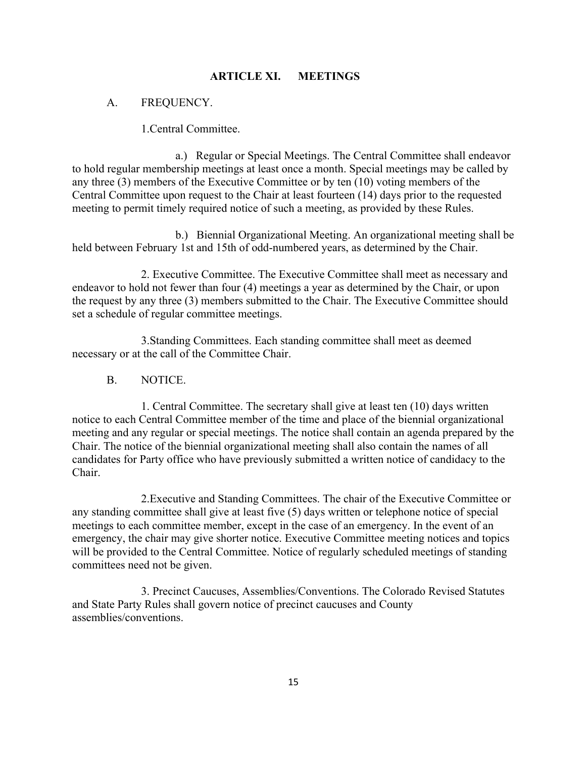### **ARTICLE XI. MEETINGS**

#### A. FREQUENCY.

1.Central Committee.

a.) Regular or Special Meetings. The Central Committee shall endeavor to hold regular membership meetings at least once a month. Special meetings may be called by any three (3) members of the Executive Committee or by ten (10) voting members of the Central Committee upon request to the Chair at least fourteen (14) days prior to the requested meeting to permit timely required notice of such a meeting, as provided by these Rules.

b.) Biennial Organizational Meeting. An organizational meeting shall be held between February 1st and 15th of odd-numbered years, as determined by the Chair.

2. Executive Committee. The Executive Committee shall meet as necessary and endeavor to hold not fewer than four (4) meetings a year as determined by the Chair, or upon the request by any three (3) members submitted to the Chair. The Executive Committee should set a schedule of regular committee meetings.

3.Standing Committees. Each standing committee shall meet as deemed necessary or at the call of the Committee Chair.

B. NOTICE.

1. Central Committee. The secretary shall give at least ten (10) days written notice to each Central Committee member of the time and place of the biennial organizational meeting and any regular or special meetings. The notice shall contain an agenda prepared by the Chair. The notice of the biennial organizational meeting shall also contain the names of all candidates for Party office who have previously submitted a written notice of candidacy to the Chair.

2.Executive and Standing Committees. The chair of the Executive Committee or any standing committee shall give at least five (5) days written or telephone notice of special meetings to each committee member, except in the case of an emergency. In the event of an emergency, the chair may give shorter notice. Executive Committee meeting notices and topics will be provided to the Central Committee. Notice of regularly scheduled meetings of standing committees need not be given.

3. Precinct Caucuses, Assemblies/Conventions. The Colorado Revised Statutes and State Party Rules shall govern notice of precinct caucuses and County assemblies/conventions.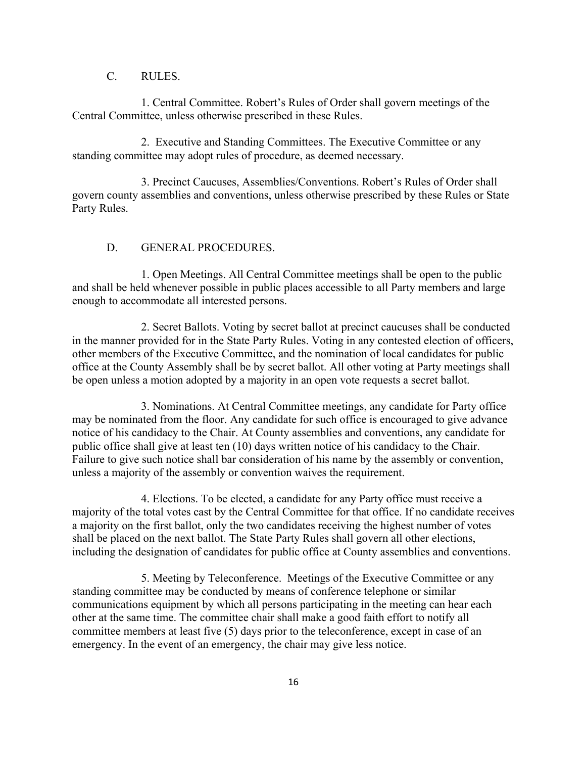### C. RULES.

1. Central Committee. Robert's Rules of Order shall govern meetings of the Central Committee, unless otherwise prescribed in these Rules.

2. Executive and Standing Committees. The Executive Committee or any standing committee may adopt rules of procedure, as deemed necessary.

3. Precinct Caucuses, Assemblies/Conventions. Robert's Rules of Order shall govern county assemblies and conventions, unless otherwise prescribed by these Rules or State Party Rules.

#### D. GENERAL PROCEDURES.

1. Open Meetings. All Central Committee meetings shall be open to the public and shall be held whenever possible in public places accessible to all Party members and large enough to accommodate all interested persons.

2. Secret Ballots. Voting by secret ballot at precinct caucuses shall be conducted in the manner provided for in the State Party Rules. Voting in any contested election of officers, other members of the Executive Committee, and the nomination of local candidates for public office at the County Assembly shall be by secret ballot. All other voting at Party meetings shall be open unless a motion adopted by a majority in an open vote requests a secret ballot.

3. Nominations. At Central Committee meetings, any candidate for Party office may be nominated from the floor. Any candidate for such office is encouraged to give advance notice of his candidacy to the Chair. At County assemblies and conventions, any candidate for public office shall give at least ten (10) days written notice of his candidacy to the Chair. Failure to give such notice shall bar consideration of his name by the assembly or convention, unless a majority of the assembly or convention waives the requirement.

4. Elections. To be elected, a candidate for any Party office must receive a majority of the total votes cast by the Central Committee for that office. If no candidate receives a majority on the first ballot, only the two candidates receiving the highest number of votes shall be placed on the next ballot. The State Party Rules shall govern all other elections, including the designation of candidates for public office at County assemblies and conventions.

5. Meeting by Teleconference. Meetings of the Executive Committee or any standing committee may be conducted by means of conference telephone or similar communications equipment by which all persons participating in the meeting can hear each other at the same time. The committee chair shall make a good faith effort to notify all committee members at least five (5) days prior to the teleconference, except in case of an emergency. In the event of an emergency, the chair may give less notice.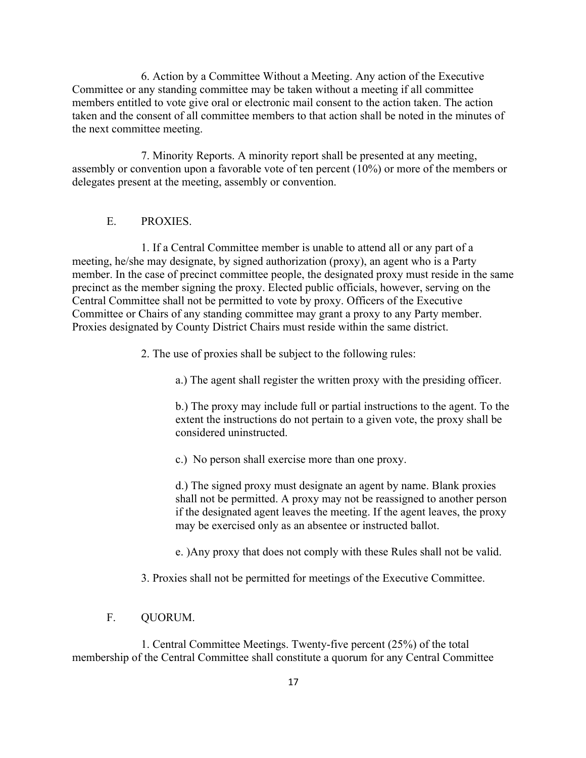6. Action by a Committee Without a Meeting. Any action of the Executive Committee or any standing committee may be taken without a meeting if all committee members entitled to vote give oral or electronic mail consent to the action taken. The action taken and the consent of all committee members to that action shall be noted in the minutes of the next committee meeting.

7. Minority Reports. A minority report shall be presented at any meeting, assembly or convention upon a favorable vote of ten percent (10%) or more of the members or delegates present at the meeting, assembly or convention.

### E. PROXIES.

1. If a Central Committee member is unable to attend all or any part of a meeting, he/she may designate, by signed authorization (proxy), an agent who is a Party member. In the case of precinct committee people, the designated proxy must reside in the same precinct as the member signing the proxy. Elected public officials, however, serving on the Central Committee shall not be permitted to vote by proxy. Officers of the Executive Committee or Chairs of any standing committee may grant a proxy to any Party member. Proxies designated by County District Chairs must reside within the same district.

2. The use of proxies shall be subject to the following rules:

a.) The agent shall register the written proxy with the presiding officer.

b.) The proxy may include full or partial instructions to the agent. To the extent the instructions do not pertain to a given vote, the proxy shall be considered uninstructed.

c.) No person shall exercise more than one proxy.

d.) The signed proxy must designate an agent by name. Blank proxies shall not be permitted. A proxy may not be reassigned to another person if the designated agent leaves the meeting. If the agent leaves, the proxy may be exercised only as an absentee or instructed ballot.

e. )Any proxy that does not comply with these Rules shall not be valid.

3. Proxies shall not be permitted for meetings of the Executive Committee.

### F. QUORUM.

1. Central Committee Meetings. Twenty-five percent (25%) of the total membership of the Central Committee shall constitute a quorum for any Central Committee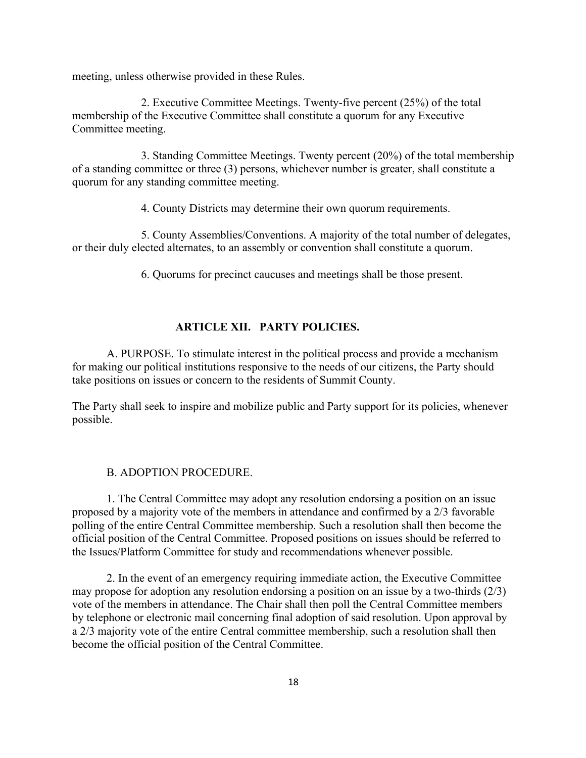meeting, unless otherwise provided in these Rules.

2. Executive Committee Meetings. Twenty-five percent (25%) of the total membership of the Executive Committee shall constitute a quorum for any Executive Committee meeting.

3. Standing Committee Meetings. Twenty percent (20%) of the total membership of a standing committee or three (3) persons, whichever number is greater, shall constitute a quorum for any standing committee meeting.

4. County Districts may determine their own quorum requirements.

5. County Assemblies/Conventions. A majority of the total number of delegates, or their duly elected alternates, to an assembly or convention shall constitute a quorum.

6. Quorums for precinct caucuses and meetings shall be those present.

### **ARTICLE XII. PARTY POLICIES.**

A. PURPOSE. To stimulate interest in the political process and provide a mechanism for making our political institutions responsive to the needs of our citizens, the Party should take positions on issues or concern to the residents of Summit County.

The Party shall seek to inspire and mobilize public and Party support for its policies, whenever possible.

#### B. ADOPTION PROCEDURE.

1. The Central Committee may adopt any resolution endorsing a position on an issue proposed by a majority vote of the members in attendance and confirmed by a 2/3 favorable polling of the entire Central Committee membership. Such a resolution shall then become the official position of the Central Committee. Proposed positions on issues should be referred to the Issues/Platform Committee for study and recommendations whenever possible.

2. In the event of an emergency requiring immediate action, the Executive Committee may propose for adoption any resolution endorsing a position on an issue by a two-thirds (2/3) vote of the members in attendance. The Chair shall then poll the Central Committee members by telephone or electronic mail concerning final adoption of said resolution. Upon approval by a 2/3 majority vote of the entire Central committee membership, such a resolution shall then become the official position of the Central Committee.